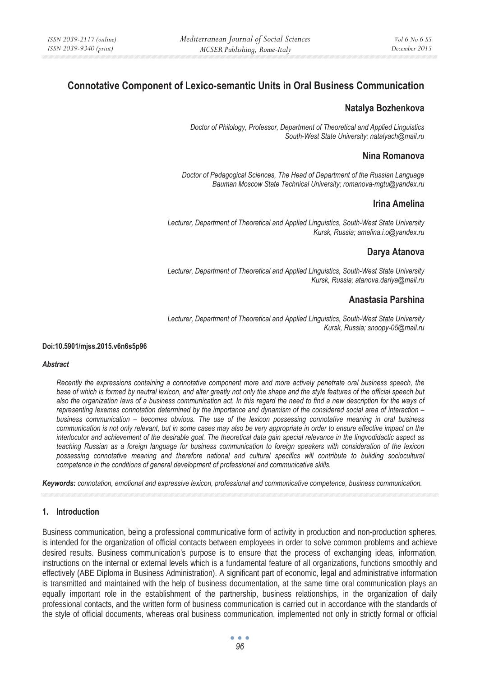# **Connotative Component of Lexico-semantic Units in Oral Business Communication**

# **Natalya Bozhenkova**

*Doctor of Philology, Professor, Department of Theoretical and Applied Linguistics South-West State University; natalyach@mail.ru* 

## **Nina Romanova**

*Doctor of Pedagogical Sciences, The Head of Department of the Russian Language Bauman Moscow State Technical University; romanova-mgtu@yandex.ru* 

## **Irina Amelina**

*Lecturer, Department of Theoretical and Applied Linguistics, South-West State University Kursk, Russia; amelina.i.o@yandex.ru* 

## **Darya Atanova**

*Lecturer, Department of Theoretical and Applied Linguistics, South-West State University Kursk, Russia; atanova.dariya@mail.ru* 

# **Anastasia Parshina**

*Lecturer, Department of Theoretical and Applied Linguistics, South-West State University Kursk, Russia; snoopy-05@mail.ru* 

#### **Doi:10.5901/mjss.2015.v6n6s5p96**

#### *Abstract*

*Recently the expressions containing a connotative component more and more actively penetrate oral business speech, the base of which is formed by neutral lexicon, and alter greatly not only the shape and the style features of the official speech but also the organization laws of a business communication act. In this regard the need to find a new description for the ways of representing lexemes connotation determined by the importance and dynamism of the considered social area of interaction – business communication – becomes obvious. The use of the lexicon possessing connotative meaning in oral business communication is not only relevant, but in some cases may also be very appropriate in order to ensure effective impact on the interlocutor and achievement of the desirable goal. The theoretical data gain special relevance in the lingvodidactic aspect as teaching Russian as a foreign language for business communication to foreign speakers with consideration of the lexicon*  possessing connotative meaning and therefore national and cultural specifics will contribute to building sociocultural *competence in the conditions of general development of professional and communicative skills.* 

*Keywords: connotation, emotional and expressive lexicon, professional and communicative competence, business communication.* 

#### **1. Introduction**

Business communication, being a professional communicative form of activity in production and non-production spheres, is intended for the organization of official contacts between employees in order to solve common problems and achieve desired results. Business communication's purpose is to ensure that the process of exchanging ideas, information, instructions on the internal or external levels which is a fundamental feature of all organizations, functions smoothly and effectively (ABE Diploma in Business Administration). A significant part of economic, legal and administrative information is transmitted and maintained with the help of business documentation, at the same time oral communication plays an equally important role in the establishment of the partnership, business relationships, in the organization of daily professional contacts, and the written form of business communication is carried out in accordance with the standards of the style of official documents, whereas oral business communication, implemented not only in strictly formal or official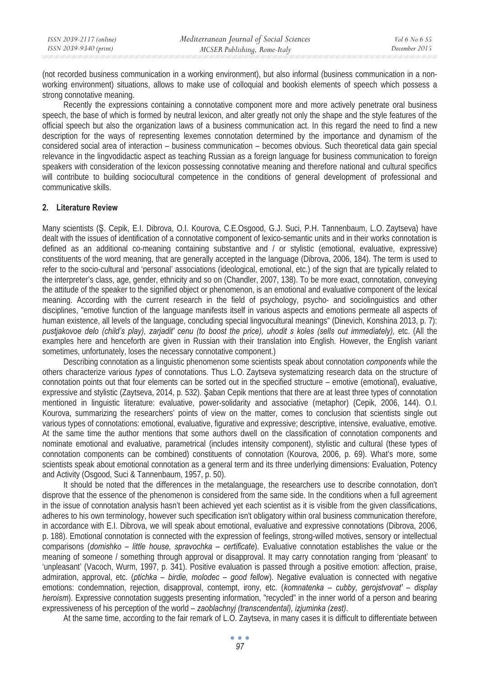(not recorded business communication in a working environment), but also informal (business communication in a nonworking environment) situations, allows to make use of colloquial and bookish elements of speech which possess a strong connotative meaning.

Recently the expressions containing a connotative component more and more actively penetrate oral business speech, the base of which is formed by neutral lexicon, and alter greatly not only the shape and the style features of the official speech but also the organization laws of a business communication act. In this regard the need to find a new description for the ways of representing lexemes connotation determined by the importance and dynamism of the considered social area of interaction – business communication – becomes obvious. Such theoretical data gain special relevance in the lingvodidactic aspect as teaching Russian as a foreign language for business communication to foreign speakers with consideration of the lexicon possessing connotative meaning and therefore national and cultural specifics will contribute to building sociocultural competence in the conditions of general development of professional and communicative skills.

### **2. Literature Review**

Many scientists (Ş. Cepik, E.I. Dibrova, O.I. Kourova, C.E.Osgood, G.J. Suci, P.H. Tannenbaum, L.O. Zaytseva) have dealt with the issues of identification of a connotative component of lexico-semantic units and in their works connotation is defined as an additional co-meaning containing substantive and / or stylistic (emotional, evaluative, expressive) constituents of the word meaning, that are generally accepted in the language (Dibrova, 2006, 184). The term is used to refer to the socio-cultural and 'personal' associations (ideological, emotional, etc.) of the sign that are typically related to the interpreter's class, age, gender, ethnicity and so on (Chandler, 2007, 138). To be more exact, connotation, conveying the attitude of the speaker to the signified object or phenomenon, is an emotional and evaluative component of the lexical meaning. According with the current research in the field of psychology, psycho- and sociolinguistics and other disciplines, "emotive function of the language manifests itself in various aspects and emotions permeate all aspects of human existence, all levels of the language, concluding special lingvocultural meanings" (Dinevich, Konshina 2013, p. 7): *pustjakovoe delo (child's play), zarjadit' cenu (to boost the price), uhodit s koles (sells out immediately),* etc. (All the examples here and henceforth are given in Russian with their translation into English. However, the English variant sometimes, unfortunately, loses the necessary connotative component.)

Describing connotation as a linguistic phenomenon some scientists speak about connotation *components* while the others characterize various *types* of connotations. Thus L.O. Zaytseva systematizing research data on the structure of connotation points out that four elements can be sorted out in the specified structure *–* emotive (emotional), evaluative, expressive and stylistic (Zaytseva, 2014, p. 532). Saban Cepik mentions that there are at least three types of connotation mentioned in linguistic literature: evaluative, power-solidarity and associative (metaphor) (Cepik, 2006, 144). O.I. Kourova, summarizing the researchers' points of view on the matter, comes to conclusion that scientists single out various types of connotations: emotional, evaluative, figurative and expressive; descriptive, intensive, evaluative, emotive. At the same time the author mentions that some authors dwell on the classification of connotation components and nominate emotional and evaluative, parametrical (includes intensity component), stylistic and cultural (these types of connotation components can be combined) constituents of connotation (Kourova, 2006, p. 69). What's more, some scientists speak about emotional connotation as a general term and its three underlying dimensions: Evaluation, Potency and Activity (Osgood, Suci & Tannenbaum, 1957, p. 50).

It should be noted that the differences in the metalanguage, the researchers use to describe connotation, don't disprove that the essence of the phenomenon is considered from the same side. In the conditions when a full agreement in the issue of connotation analysis hasn't been achieved yet each scientist as it is visible from the given classifications, adheres to his own terminology, however such specification isn't obligatory within oral business communication therefore, in accordance with E.I. Dibrova, we will speak about emotional, evaluative and expressive connotations (Dibrova, 2006, p. 188). Emotional connotation is connected with the expression of feelings, strong-willed motives, sensory or intellectual comparisons (*domishko – little house, spravochka – certificate*). Evaluative connotation establishes the value or the meaning of someone / something through approval or disapproval. It may carry connotation ranging from 'pleasant' to 'unpleasant' (Vacoch, Wurm, 1997, p. 341). Positive evaluation is passed through a positive emotion: affection, praise, admiration, approval, etc. (*ptichka – birdie, molodec – good fellow*). Negative evaluation is connected with negative emotions: condemnation, rejection, disapproval, contempt, irony, etc. (*komnatenka – cubby, gerojstvovat' – display heroism*). Expressive connotation suggests presenting information, "recycled" in the inner world of a person and bearing expressiveness of his perception of the world *– zaoblachnyj (transcendental), izjuminka (zest)*.

At the same time, according to the fair remark of L.O. Zaytseva, in many cases it is difficult to differentiate between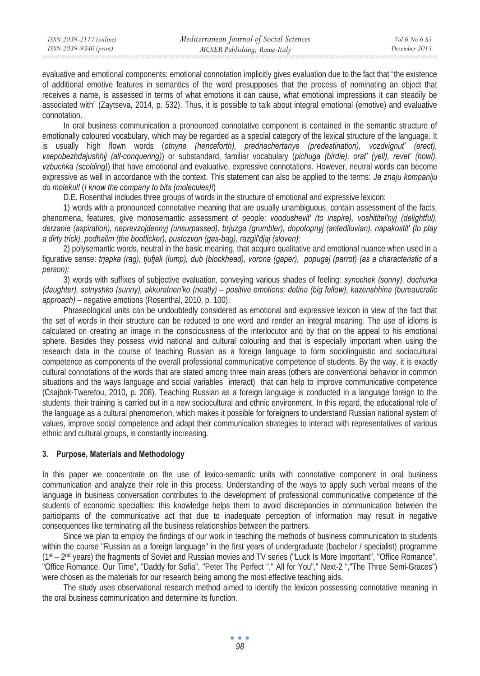evaluative and emotional components: emotional connotation implicitly gives evaluation due to the fact that "the existence of additional emotive features in semantics of the word presupposes that the process of nominating an object that receives a name, is assessed in terms of what emotions it can cause, what emotional impressions it can steadily be associated with" (Zaytseva, 2014, p. 532). Thus, it is possible to talk about integral emotional (emotive) and evaluative connotation.

In oral business communication a pronounced connotative component is contained in the semantic structure of emotionally coloured vocabulary, which may be regarded as a special category of the lexical structure of the language. It is usually high flown words (*otnyne (henceforth), prednachertanye (predestination), vozdvignut' (erect), vsepobezhdajushhij (all-conquering)*) or substandard, familiar vocabulary (*pichuga (birdie), orat' (yell), revet' (howl), vzbuchka (scolding)*) that have emotional and evaluative, expressive connotations. However, neutral words can become expressive as well in accordance with the context. This statement can also be applied to the terms: *Ja znaju kompaniju do molekul!* (*I know the company to bits (molecules)!*)

D.E. Rosenthal includes three groups of words in the structure of emotional and expressive lexicon:

1) words with a pronounced connotative meaning that are usually unambiguous, contain assessment of the facts, phenomena, features, give monosemantic assessment of people: *voodushevit' (to inspire), voshititel'nyj (delightful), derzanie (aspiration), neprevzojdennyj (unsurpassed), brjuzga (grumbler), dopotopnyj (antediluvian), napakostit' (to play a dirty trick), podhalim (the bootlicker), pustozvon (gas-bag), razgil'djaj (sloven);* 

2) polysemantic words, neutral in the basic meaning, that acquire qualitative and emotional nuance when used in a figurative sense: *trjapka (rag), tjufjak (lump), dub (blockhead), vorona (gaper), popugaj (parrot) (as a characteristic of a person);* 

3) words with suffixes of subjective evaluation, conveying various shades of feeling: *synochek (sonny), dochurka (daughter), solnyshko (sunny), akkuratnen'ko (neatly) – positive emotions; detina (big fellow), kazenshhina (bureaucratic approach)* – negative emotions (Rosenthal, 2010, p. 100).

Phraseological units can be undoubtedly considered as emotional and expressive lexicon in view of the fact that the set of words in their structure can be reduced to one word and render an integral meaning. The use of idioms is calculated on creating an image in the consciousness of the interlocutor and by that on the appeal to his emotional sphere. Besides they possess vivid national and cultural colouring and that is especially important when using the research data in the course of teaching Russian as a foreign language to form sociolinguistic and sociocultural competence as components of the overall professional communicative competence of students. By the way, it is exactly cultural connotations of the words that are stated among three main areas (others are conventional behavior in common situations and the ways language and social variables interact) that can help to improve communicative competence (Csajbok-Twerefou, 2010, p. 208). Teaching Russian as a foreign language is conducted in a language foreign to the students, their training is carried out in a new sociocultural and ethnic environment. In this regard, the educational role of the language as a cultural phenomenon, which makes it possible for foreigners to understand Russian national system of values, improve social competence and adapt their communication strategies to interact with representatives of various ethnic and cultural groups, is constantly increasing.

### **3. Purpose, Materials and Methodology**

In this paper we concentrate on the use of lexico-semantic units with connotative component in oral business communication and analyze their role in this process. Understanding of the ways to apply such verbal means of the language in business conversation contributes to the development of professional communicative competence of the students of economic specialties: this knowledge helps them to avoid discrepancies in communication between the participants of the communicative act that due to inadequate perception of information may result in negative consequences like terminating all the business relationships between the partners.

Since we plan to employ the findings of our work in teaching the methods of business communication to students within the course "Russian as a foreign language" in the first years of undergraduate (bachelor / specialist) programme (1st – 2nd years) the fragments of Soviet and Russian movies and TV series ("Luck Is More Important", "Office Romance", "Office Romance. Our Time", "Daddy for Sofia", "Peter The Perfect "," All for You"," Next-2 ","The Three Semi-Graces") were chosen as the materials for our research being among the most effective teaching aids.

The study uses observational research method aimed to identify the lexicon possessing connotative meaning in the oral business communication and determine its function.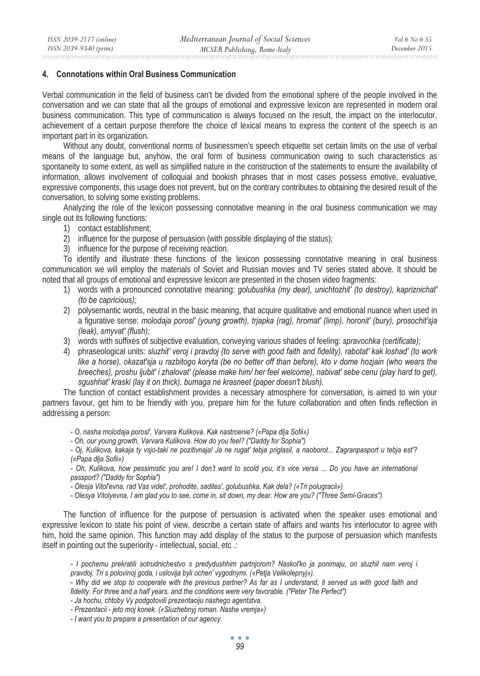### **4. Connotations within Oral Business Communication**

Verbal communication in the field of business can't be divided from the emotional sphere of the people involved in the conversation and we can state that all the groups of emotional and expressive lexicon are represented in modern oral business communication. This type of communication is always focused on the result, the impact on the interlocutor, achievement of a certain purpose therefore the choice of lexical means to express the content of the speech is an important part in its organization.

Without any doubt, conventional norms of businessmen's speech etiquette set certain limits on the use of verbal means of the language but, anyhow, the oral form of business communication owing to such characteristics as spontaneity to some extent, as well as simplified nature in the construction of the statements to ensure the availability of information, allows involvement of colloquial and bookish phrases that in most cases possess emotive, evaluative, expressive components, this usage does not prevent, but on the contrary contributes to obtaining the desired result of the conversation, to solving some existing problems.

Analyzing the role of the lexicon possessing connotative meaning in the oral business communication we may single out its following functions:

- 1) contact establishment;
- 2) influence for the purpose of persuasion (with possible displaying of the status);
- 3) influence for the purpose of receiving reaction.

To identify and illustrate these functions of the lexicon possessing connotative meaning in oral business communication we will employ the materials of Soviet and Russian movies and TV series stated above. It should be noted that all groups of emotional and expressive lexicon are presented in the chosen video fragments:

- 1) words with a pronounced connotative meaning: *golubushka (my dear), unichtozhit' (to destroy), kapriznichat' (to be capricious);*
- 2) polysemantic words, neutral in the basic meaning, that acquire qualitative and emotional nuance when used in a figurative sense: *molodaja porosl' (young growth), trjapka (rag), hromat' (limp), horonit' (bury), prosochit'sja (leak), smyvat' (flush);*
- 3) words with suffixes of subjective evaluation, conveying various shades of feeling: *spravochka (certificate);*
- 4) phraseological units: *sluzhit' veroj i pravdoj (to serve with good faith and fidelity), rabotat' kak loshad' (to work like a horse), okazat'sja u razbitogo koryta (be no better off than before), kto v dome hozjain (who wears the breeches), proshu ljubit' i zhalovat' (please make him/ her feel welcome), nabivat' sebe cenu (play hard to get), sgushhat' kraski (lay it on thick), bumaga ne krasneet (paper doesn't blush).*

The function of contact establishment provides a necessary atmosphere for conversation, is aimed to win your partners favour, get him to be friendly with you, prepare him for the future collaboration and often finds reflection in addressing a person:

- *O, nasha molodaja porosl', Varvara Kulikova. Kak nastroenie? («Papa dlja Sofii»)*
- *Oh, our young growth, Varvara Kulikova. How do you feel? ("Daddy for Sophia")*

*- Oj, Kulikova, kakaja ty vsjo-taki ne pozitivnaja! Ja ne rugat' tebja priglasil, a naoborot... Zagranpasport u tebja est'? («Papa dlja Sofii»)* 

- Oh, Kulikova, how pessimistic you are! I don't want to scold you, it's vice versa ... Do you have an international *passport? ("Daddy for Sophia")* 

*- Olesja Vitol'evna, rad Vas videt', prohodite, sadites', golubushka. Kak dela? («Tri polugracii»)* 

*- Olesya Vitolyevna, I am glad you to see, come in, sit down, my dear. How are you? ("Three Semi-Graces")* 

The function of influence for the purpose of persuasion is activated when the speaker uses emotional and expressive lexicon to state his point of view, describe a certain state of affairs and wants his interlocutor to agree with him, hold the same opinion. This function may add display of the status to the purpose of persuasion which manifests itself in pointing out the superiority - intellectual, social, etc .:

*- I pochemu prekratili sotrudnichestvo s predydushhim partnjorom? Naskol'ko ja ponimaju, on sluzhil nam veroj i pravdoj. Tri s polovinoj goda, i uslovija byli ochen' vygodnymi. («Petja Velikolepnyj»).* 

*- Why did we stop to cooperate with the previous partner? As far as I understand, it served us with good faith and fidelity. For three and a half years, and the conditions were very favorable. ("Peter The Perfect")* 

*- Ja hochu, chtoby Vy podgotovili prezentaciju nashego agentstva.* 

*- Prezentacii - jeto moj konek. («Sluzhebnyj roman. Nashe vremja»)* 

*- I want you to prepare a presentation of our agency.*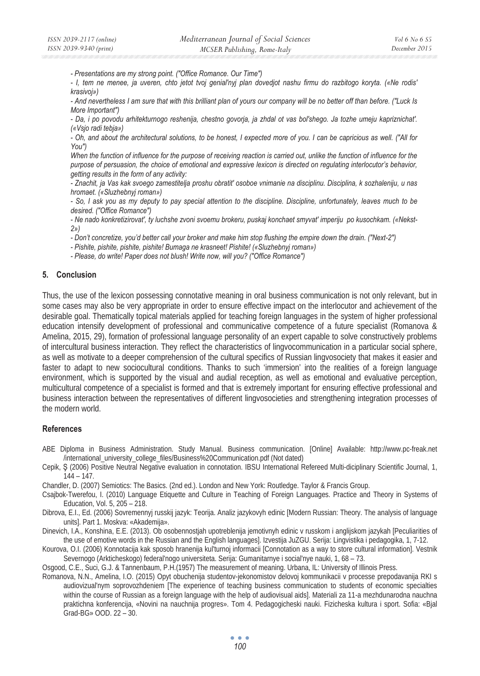*- Presentations are my strong point. ("Office Romance. Our Time")* 

*- I, tem ne menee, ja uveren, chto jetot tvoj genial'nyj plan dovedjot nashu firmu do razbitogo koryta. («Ne rodis' krasivoj»)* 

*- And nevertheless I am sure that with this brilliant plan of yours our company will be no better off than before. ("Luck Is More Important")* 

*- Da, i po povodu arhitekturnogo reshenija, chestno govorja, ja zhdal ot vas bol'shego. Ja tozhe umeju kapriznichat'. («Vsjo radi tebja»)* 

*- Oh, and about the architectural solutions, to be honest, I expected more of you. I can be capricious as well. ("All for You")* 

*When the function of influence for the purpose of receiving reaction is carried out, unlike the function of influence for the purpose of persuasion, the choice of emotional and expressive lexicon is directed on regulating interlocutor's behavior, getting results in the form of any activity:* 

*- Znachit, ja Vas kak svoego zamestitelja proshu obratit' osoboe vnimanie na disciplinu. Disciplina, k sozhaleniju, u nas hromaet. («Sluzhebnyj roman»)* 

*- So, I ask you as my deputy to pay special attention to the discipline. Discipline, unfortunately, leaves much to be desired. ("Office Romance")* 

*- Ne nado konkretizirovat', ty luchshe zvoni svoemu brokeru, puskaj konchaet smyvat' imperiju po kusochkam. («Nekst-2»)* 

*- Don't concretize, you'd better call your broker and make him stop flushing the empire down the drain. ("Next-2")* 

*- Pishite, pishite, pishite, pishite! Bumaga ne krasneet! Pishite! («Sluzhebnyj roman»)* 

*- Please, do write! Paper does not blush! Write now, will you? ("Office Romance")* 

# **5. Conclusion**

Thus, the use of the lexicon possessing connotative meaning in oral business communication is not only relevant, but in some cases may also be very appropriate in order to ensure effective impact on the interlocutor and achievement of the desirable goal. Thematically topical materials applied for teaching foreign languages in the system of higher professional education intensify development of professional and communicative competence of a future specialist (Romanova & Amelina, 2015, 29), formation of professional language personality of an expert capable to solve constructively problems of intercultural business interaction. They reflect the characteristics of lingvocommunication in a particular social sphere, as well as motivate to a deeper comprehension of the cultural specifics of Russian lingvosociety that makes it easier and faster to adapt to new sociocultural conditions. Thanks to such 'immersion' into the realities of a foreign language environment, which is supported by the visual and audial reception, as well as emotional and evaluative perception, multicultural competence of a specialist is formed and that is extremely important for ensuring effective professional and business interaction between the representatives of different lingvosocieties and strengthening integration processes of the modern world.

### **References**

- ABE Diploma in Business Administration. Study Manual. Business communication. [Online] Available: http://www.pc-freak.net /international\_university\_college\_files/Business%20Communication.pdf (Not dated)
- Cepik, S (2006) Positive Neutral Negative evaluation in connotation. IBSU International Refereed Multi-diciplinary Scientific Journal, 1, 144 – 147.

Chandler, D. (2007) Semiotics: The Basics. (2nd ed.). London and New York: Routledge. Taylor & Francis Group.

Csajbok-Twerefou, I. (2010) Language Etiquette and Culture in Teaching of Foreign Languages. Practice and Theory in Systems of Education, Vol. 5, 205 – 218.

Dibrova, E.I., Ed. (2006) Sovremennyj russkij jazyk: Teorija. Analiz jazykovyh edinic [Modern Russian: Theory. The analysis of language units]. Part 1. Moskva: «Akademija».

Dinevich, I.A., Konshina, E.E. (2013). Ob osobennostjah upotreblenija jemotivnyh edinic v russkom i anglijskom jazykah [Peculiarities of the use of emotive words in the Russian and the English languages]. Izvestija JuZGU. Serija: Lingvistika i pedagogika, 1, 7-12.

Kourova, O.I. (2006) Konnotacija kak sposob hranenija kul'turnoj informacii [Connotation as a way to store cultural information]. Vestnik Severnogo (Arkticheskogo) federal'nogo universiteta. Serija: Gumanitarnye i social'nye nauki, 1, 68 – 73.

Osgood, C.E., Suci, G.J. & Tannenbaum, P.H.(1957) The measurement of meaning. Urbana, IL: University of Illinois Press.

Romanova, N.N., Amelina, I.O. (2015) Opyt obuchenija studentov-jekonomistov delovoj kommunikacii v processe prepodavanija RKI s audiovizual'nym soprovozhdeniem [The experience of teaching business communication to students of economic specialties within the course of Russian as a foreign language with the help of audiovisual aids]. Materiali za 11-a mezhdunarodna nauchna praktichna konferencija, «Novini na nauchnija progres». Tom 4. Pedagogicheski nauki. Fizicheska kultura i sport. Sofia: «Bjal Grad-BG» OOD. 22 – 30.